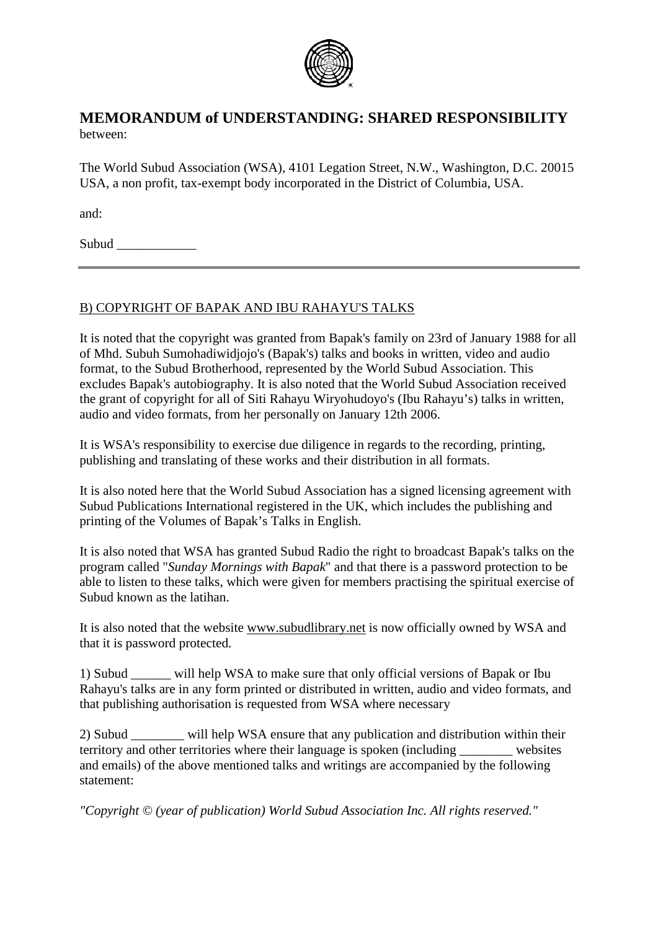

## **MEMORANDUM of UNDERSTANDING: SHARED RESPONSIBILITY** between:

The World Subud Association (WSA), 4101 Legation Street, N.W., Washington, D.C. 20015 USA, a non profit, tax-exempt body incorporated in the District of Columbia, USA.

and:

Subud  $\Box$ 

## B) COPYRIGHT OF BAPAK AND IBU RAHAYU'S TALKS

It is noted that the copyright was granted from Bapak's family on 23rd of January 1988 for all of Mhd. Subuh Sumohadiwidjojo's (Bapak's) talks and books in written, video and audio format, to the Subud Brotherhood, represented by the World Subud Association. This excludes Bapak's autobiography. It is also noted that the World Subud Association received the grant of copyright for all of Siti Rahayu Wiryohudoyo's (Ibu Rahayu's) talks in written, audio and video formats, from her personally on January 12th 2006.

It is WSA's responsibility to exercise due diligence in regards to the recording, printing, publishing and translating of these works and their distribution in all formats.

It is also noted here that the World Subud Association has a signed licensing agreement with Subud Publications International registered in the UK, which includes the publishing and printing of the Volumes of Bapak's Talks in English.

It is also noted that WSA has granted Subud Radio the right to broadcast Bapak's talks on the program called "*Sunday Mornings with Bapak*" and that there is a password protection to be able to listen to these talks, which were given for members practising the spiritual exercise of Subud known as the latihan.

It is also noted that the website [www.subudlibrary.net](http://www.subudlibrary.net/) is now officially owned by WSA and that it is password protected.

1) Subud \_\_\_\_\_\_ will help WSA to make sure that only official versions of Bapak or Ibu Rahayu's talks are in any form printed or distributed in written, audio and video formats, and that publishing authorisation is requested from WSA where necessary

2) Subud \_\_\_\_\_\_\_\_ will help WSA ensure that any publication and distribution within their territory and other territories where their language is spoken (including websites and emails) of the above mentioned talks and writings are accompanied by the following statement:

*"Copyright © (year of publication) World Subud Association Inc. All rights reserved."*